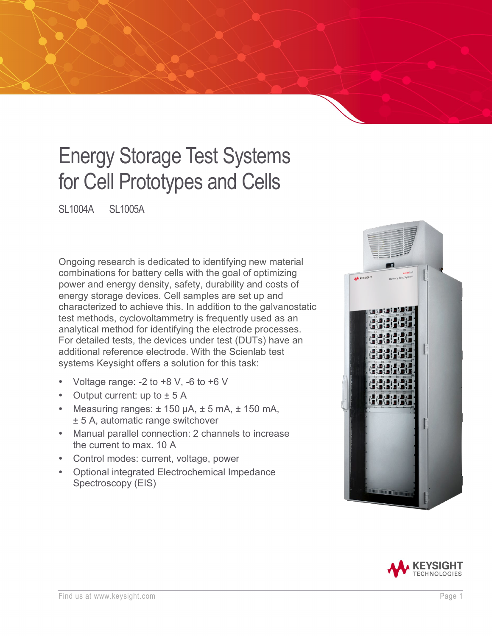# Energy Storage Test Systems for Cell Prototypes and Cells

SL1004A SL1005A

Ongoing research is dedicated to identifying new material combinations for battery cells with the goal of optimizing power and energy density, safety, durability and costs of energy storage devices. Cell samples are set up and characterized to achieve this. In addition to the galvanostatic test methods, cyclovoltammetry is frequently used as an analytical method for identifying the electrode processes. For detailed tests, the devices under test (DUTs) have an additional reference electrode. With the Scienlab test systems Keysight offers a solution for this task:

- Voltage range:  $-2$  to  $+8$  V,  $-6$  to  $+6$  V
- Output current: up to  $\pm$  5 A
- Measuring ranges:  $\pm$  150 µA,  $\pm$  5 mA,  $\pm$  150 mA, ± 5 A, automatic range switchover
- Manual parallel connection: 2 channels to increase the current to max. 10 A
- Control modes: current, voltage, power
- Optional integrated Electrochemical Impedance Spectroscopy (EIS)



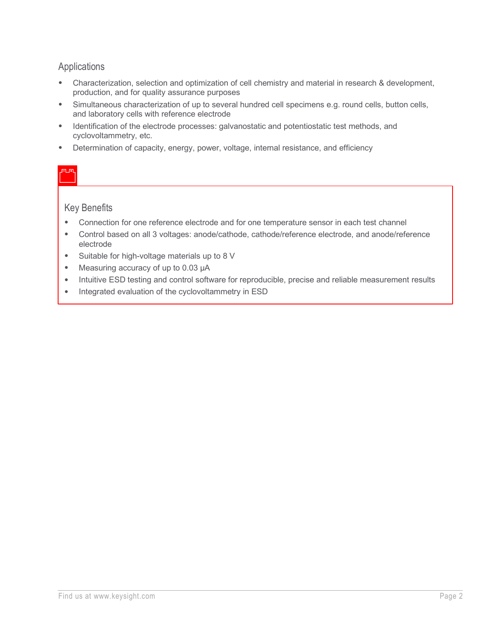#### Applications

- Characterization, selection and optimization of cell chemistry and material in research & development, production, and for quality assurance purposes
- Simultaneous characterization of up to several hundred cell specimens e.g. round cells, button cells, and laboratory cells with reference electrode
- Identification of the electrode processes: galvanostatic and potentiostatic test methods, and cyclovoltammetry, etc.
- Determination of capacity, energy, power, voltage, internal resistance, and efficiency

#### Key Benefits

- Connection for one reference electrode and for one temperature sensor in each test channel
- Control based on all 3 voltages: anode/cathode, cathode/reference electrode, and anode/reference electrode
- Suitable for high-voltage materials up to 8 V
- Measuring accuracy of up to 0.03 μA
- Intuitive ESD testing and control software for reproducible, precise and reliable measurement results
- Integrated evaluation of the cyclovoltammetry in ESD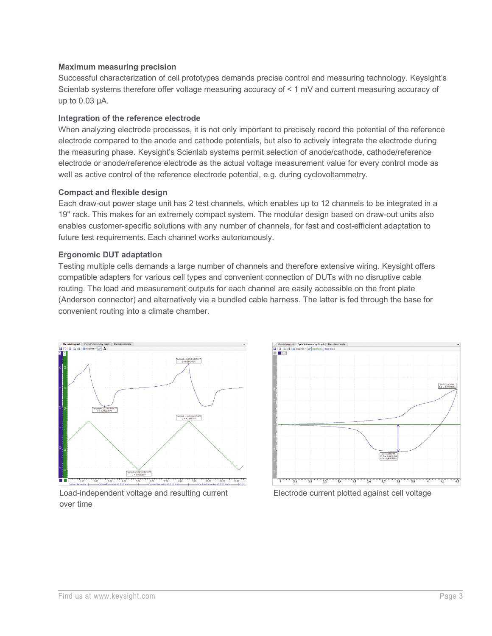#### **Maximum measuring precision**

Successful characterization of cell prototypes demands precise control and measuring technology. Keysight's Scienlab systems therefore offer voltage measuring accuracy of < 1 mV and current measuring accuracy of up to 0.03 μA.

#### **Integration of the reference electrode**

When analyzing electrode processes, it is not only important to precisely record the potential of the reference electrode compared to the anode and cathode potentials, but also to actively integrate the electrode during the measuring phase. Keysight's Scienlab systems permit selection of anode/cathode, cathode/reference electrode or anode/reference electrode as the actual voltage measurement value for every control mode as well as active control of the reference electrode potential, e.g. during cyclovoltammetry.

#### **Compact and flexible design**

Each draw-out power stage unit has 2 test channels, which enables up to 12 channels to be integrated in a 19" rack. This makes for an extremely compact system. The modular design based on draw-out units also enables customer-specific solutions with any number of channels, for fast and cost-efficient adaptation to future test requirements. Each channel works autonomously.

#### **Ergonomic DUT adaptation**

Testing multiple cells demands a large number of channels and therefore extensive wiring. Keysight offers compatible adapters for various cell types and convenient connection of DUTs with no disruptive cable routing. The load and measurement outputs for each channel are easily accessible on the front plate (Anderson connector) and alternatively via a bundled cable harness. The latter is fed through the base for convenient routing into a climate chamber.



Load-independent voltage and resulting current over time



Electrode current plotted against cell voltage